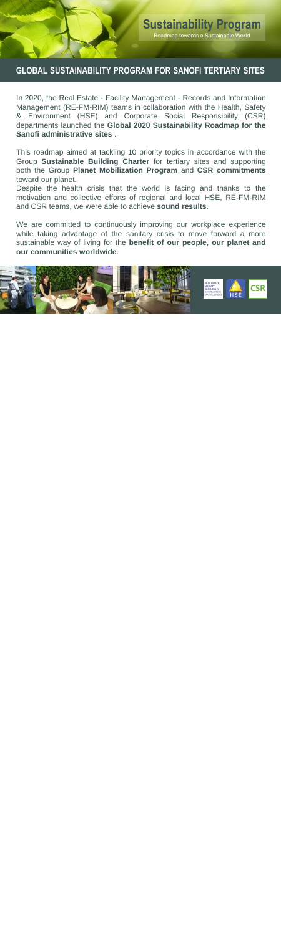

### **GLOBAL SUSTAINABILITY PROGRAM FOR SANOFI TERTIARY SITES**

In 2020, the Real Estate - Facility Management - Records and Information Management (RE-FM-RIM) teams in collaboration with the Health, Safety & Environment (HSE) and Corporate Social Responsibility (CSR) departments launched the **Global 2020 Sustainability Roadmap for the Sanofi administrative sites** .

This roadmap aimed at tackling 10 priority topics in accordance with the Group **Sustainable Building Charter** for tertiary sites and supporting both the Group **Planet Mobilization Program** and **CSR commitments** toward our planet.

Despite the health crisis that the world is facing and thanks to the motivation and collective efforts of regional and local HSE, RE-FM-RIM and CSR teams, we were able to achieve **sound results**.

We are committed to continuously improving our workplace experience while taking advantage of the sanitary crisis to move forward a more sustainable way of living for the **benefit of our people, our planet and our communities worldwide**.

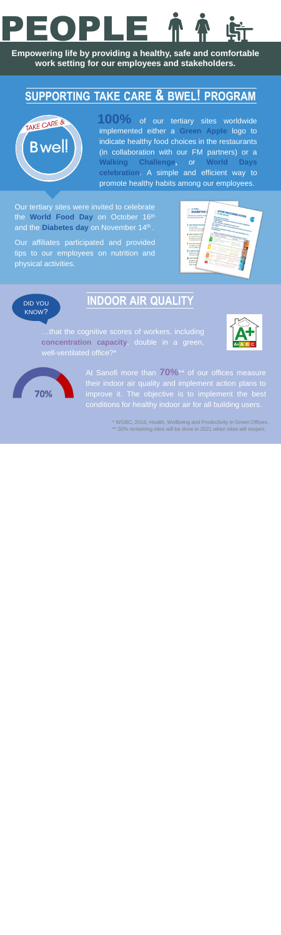# PEOPLE

**Empowering life by providing a healthy, safe and comfortable work setting for our employees and stakeholders.**

# **SUPPORTING TAKE CARE & BWEL! PROGRAM**



of our tertiary sites worldwide implemented either a **Green Apple** logo to indicate healthy food choices in the restaurants (in collaboration with our FM partners) or a **Walking Challenge,** or **World Days celebration**. A simple and efficient way to promote healthy habits among our employees. **100%**

Our tertiary sites were invited to celebrate the **World Food Day** on October 16th and the **Diabetes day** on November 14th .

Our affiliates participated and provided tips to our employees on nutrition and physical activities.

| 5 TIPS                          | AVOID PROCESSED FOODS                                                                                                 |
|---------------------------------|-----------------------------------------------------------------------------------------------------------------------|
| <b>DIABETES!</b>                |                                                                                                                       |
| Changing your lifestyle could b | TO FELL BETTER                                                                                                        |
| It's never too late to start!   | <b>Jos processos products</b>                                                                                         |
|                                 | production instituted throws stays and industrial ingredients.<br>×.                                                  |
|                                 |                                                                                                                       |
|                                 | chasp, attractive, paratative and many to eat.<br>the of products on other in food stores while should not exceed 195 |
| <b>GET MORE PHYSICA</b>         |                                                                                                                       |
| To lose weight.                 |                                                                                                                       |
| To kneer your blood sugar       |                                                                                                                       |
| To boost your sensitivity.      |                                                                                                                       |
| <b>GET PLENTY OF F</b>          | the company restaurants chared a very topy percentage of non-<br>NOVA CLASSIFICATION FOR PROCESSED FOODS<br>$\sim$    |
| To improve your blood.          |                                                                                                                       |
| To fower your risk of he        |                                                                                                                       |
| To promote weight lost          | in a                                                                                                                  |
|                                 | <b>Side</b>                                                                                                           |
| <b>GO FOR WHOLE</b>             | <b>CALCULATION</b><br><b>Dealer Survey Line</b><br><b>STAR</b>                                                        |
| To reduce your risk             | <b>COLOR COLOR AND INCOME.</b>                                                                                        |
| To help maintain bli            |                                                                                                                       |
| <b>LOSE EXTRA!</b>              | <b>Strategic</b>                                                                                                      |
| Diabetes prevent                | <b>Contact Services</b>                                                                                               |
| Every pound you                 | <b>Construction Construction Construction</b><br><b>Carolina Automotive</b>                                           |
|                                 |                                                                                                                       |
| <b>JUST MAKE</b>                | <b>State of Congress</b><br><b>Plate Committee of A</b><br><b>STATION</b>                                             |
| Be careful with                 | <b>Security Services</b><br><b>Carl County Dealership</b>                                                             |
| giving up esse                  | <b>CONTRACTOR</b>                                                                                                     |
| Make variety)<br>ALC: YES       | <b>Contract Contract</b><br><b>STANDARD AND ARTISTS</b>                                                               |
|                                 | <b>Commercial</b>                                                                                                     |

### DID YOU KNOW?

## **INDOOR AIR QUALITY**

…that the cognitive scores of workers, including **concentration capacity**, double in a green, well-ventilated office?\*





At Sanofi more than **70%**\*\* of our offices measure their indoor air quality and implement action plans to improve it. The objective is to implement the best conditions for healthy indoor air for all building users.

\* WGBC, 2016, Health, Wellbeing and Productivity in Green Offices.

\*\* 30% remaining sites will be done in 2021 when sites will reopen.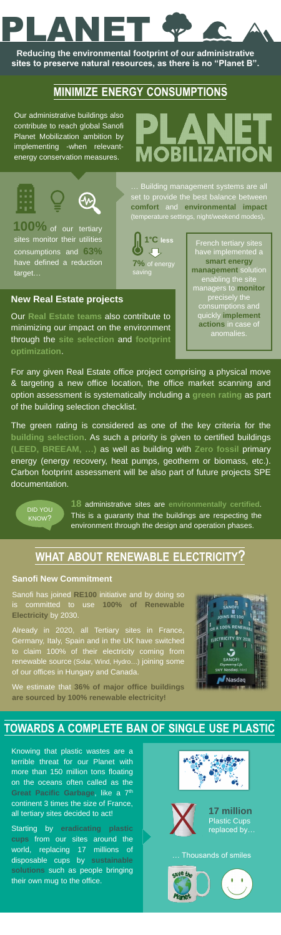# PLANET

**Reducing the environmental footprint of our administrative sites to preserve natural resources, as there is no "Planet B".**

# **MINIMIZE ENERGY CONSUMPTIONS**

100% of our tertiary sites monitor their utilities consumptions and **63%** have defined a reduction target…

Our administrative buildings also contribute to reach global Sanofi Planet Mobilization ambition by implementing -when relevantenergy conservation measures.

# **MOBILIZATION**

### **Sanofi New Commitment**

Sanofi has joined **RE100** initiative and by doing so is committed to use **100% of Renewable Electricity** by 2030.

Already in 2020, all Tertiary sites in France, Germany, Italy, Spain and in the UK have switched to claim 100% of their electricity coming from renewable source (Solar, Wind, Hydro…) joining some of our offices in Hungary and Canada.

We estimate that **36% of major office buildings are sourced by 100% renewable electricity!**



# **WHAT ABOUT RENEWABLE ELECTRICITY?**

Knowing that plastic wastes are a terrible threat for our Planet with more than 150 million tons floating on the oceans often called as the **Great Pacific Garbage**, like a 7 th continent 3 times the size of France, all tertiary sites decided to act!

Starting by **eradicating plastic cups** from our sites around the world, replacing 17 millions of disposable cups by **sustainable solutions** such as people bringing their own mug to the office.



… Building management systems are all set to provide the best balance between **comfort** and **environmental impact** (temperature settings, night/weekend modes)**.**



French tertiary sites have implemented a **smart energy management** solution enabling the site managers to **monitor** precisely the consumptions and quickly **implement actions** in case of anomalies.

DID YOU KNOW?

**18** administrative sites are **environmentally certified**. This is a guaranty that the buildings are respecting the environment through the design and operation phases.

### **TOWARDS A COMPLETE BAN OF SINGLE USE PLASTIC**



**17 million**  Plastic Cups replaced by…

#### … Thousands of smiles



For any given Real Estate office project comprising a physical move & targeting a new office location, the office market scanning and option assessment is systematically including a **green rating** as part of the building selection checklist.

### **New Real Estate projects**

Our **Real Estate teams** also contribute to minimizing our impact on the environment through the **site selection** and **footprint optimization**.

The green rating is considered as one of the key criteria for the **building selection**. As such a priority is given to certified buildings **(LEED, BREEAM, …)** as well as building with **Zero fossil** primary energy (energy recovery, heat pumps, geotherm or biomass, etc.). Carbon footprint assessment will be also part of future projects SPE documentation.